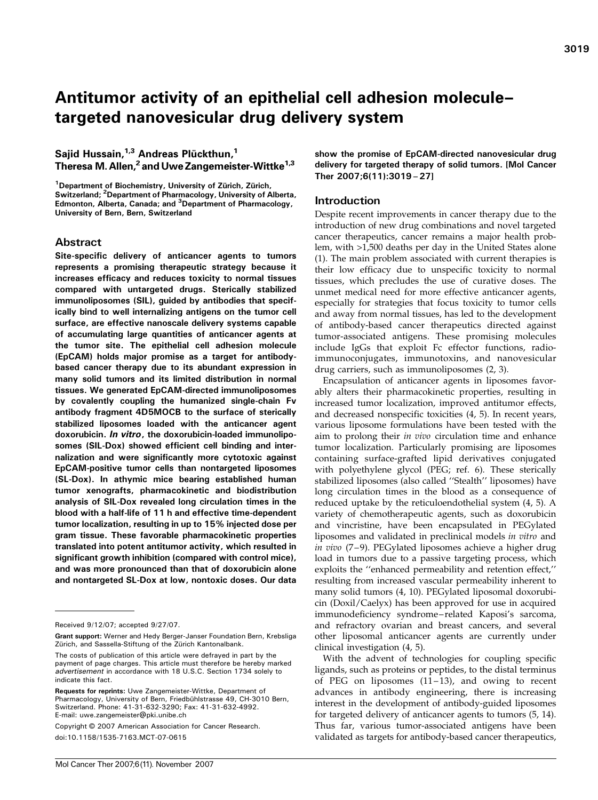# Antitumor activity of an epithelial cell adhesion molecule– targeted nanovesicular drug delivery system

Sajid Hussain,<sup>1,3</sup> Andreas Plückthun,<sup>1</sup> Theresa M. Allen,<sup>2</sup> and Uwe Zangemeister-Wittke<sup>1,3</sup>

<sup>1</sup>Department of Biochemistry, University of Zürich, Zürich, Switzerland; <sup>2</sup>Department of Pharmacology, University of Alberta, Edmonton, Alberta, Canada; and <sup>3</sup>Department of Pharmacology, University of Bern, Bern, Switzerland

# Abstract

Site-specific delivery of anticancer agents to tumors represents a promising therapeutic strategy because it increases efficacy and reduces toxicity to normal tissues compared with untargeted drugs. Sterically stabilized immunoliposomes (SIL), guided by antibodies that specifically bind to well internalizing antigens on the tumor cell surface, are effective nanoscale delivery systems capable of accumulating large quantities of anticancer agents at the tumor site. The epithelial cell adhesion molecule (EpCAM) holds major promise as a target for antibodybased cancer therapy due to its abundant expression in many solid tumors and its limited distribution in normal tissues. We generated EpCAM-directed immunoliposomes by covalently coupling the humanized single-chain Fv antibody fragment 4D5MOCB to the surface of sterically stabilized liposomes loaded with the anticancer agent doxorubicin. In vitro, the doxorubicin-loaded immunoliposomes (SIL-Dox) showed efficient cell binding and internalization and were significantly more cytotoxic against EpCAM-positive tumor cells than nontargeted liposomes (SL-Dox). In athymic mice bearing established human tumor xenografts, pharmacokinetic and biodistribution analysis of SIL-Dox revealed long circulation times in the blood with a half-life of 11 h and effective time-dependent tumor localization, resulting in up to 15% injected dose per gram tissue. These favorable pharmacokinetic properties translated into potent antitumor activity, which resulted in significant growth inhibition (compared with control mice), and was more pronounced than that of doxorubicin alone and nontargeted SL-Dox at low, nontoxic doses. Our data

Copyright © 2007 American Association for Cancer Research. doi:10.1158/1535-7163.MCT-07-0615

show the promise of EpCAM-directed nanovesicular drug delivery for targeted therapy of solid tumors. [Mol Cancer Ther 2007;6(11):3019–27]

# Introduction

Despite recent improvements in cancer therapy due to the introduction of new drug combinations and novel targeted cancer therapeutics, cancer remains a major health problem, with >1,500 deaths per day in the United States alone (1). The main problem associated with current therapies is their low efficacy due to unspecific toxicity to normal tissues, which precludes the use of curative doses. The unmet medical need for more effective anticancer agents, especially for strategies that focus toxicity to tumor cells and away from normal tissues, has led to the development of antibody-based cancer therapeutics directed against tumor-associated antigens. These promising molecules include IgGs that exploit Fc effector functions, radioimmunoconjugates, immunotoxins, and nanovesicular drug carriers, such as immunoliposomes (2, 3).

Encapsulation of anticancer agents in liposomes favorably alters their pharmacokinetic properties, resulting in increased tumor localization, improved antitumor effects, and decreased nonspecific toxicities (4, 5). In recent years, various liposome formulations have been tested with the aim to prolong their *in vivo* circulation time and enhance tumor localization. Particularly promising are liposomes containing surface-grafted lipid derivatives conjugated with polyethylene glycol (PEG; ref. 6). These sterically stabilized liposomes (also called ''Stealth'' liposomes) have long circulation times in the blood as a consequence of reduced uptake by the reticuloendothelial system (4, 5). A variety of chemotherapeutic agents, such as doxorubicin and vincristine, have been encapsulated in PEGylated liposomes and validated in preclinical models in vitro and in vivo (7-9). PEGylated liposomes achieve a higher drug load in tumors due to a passive targeting process, which exploits the ''enhanced permeability and retention effect,'' resulting from increased vascular permeability inherent to many solid tumors (4, 10). PEGylated liposomal doxorubicin (Doxil/Caelyx) has been approved for use in acquired immunodeficiency syndrome – related Kaposi's sarcoma, and refractory ovarian and breast cancers, and several other liposomal anticancer agents are currently under clinical investigation (4, 5).

With the advent of technologies for coupling specific ligands, such as proteins or peptides, to the distal terminus of PEG on liposomes  $(11-13)$ , and owing to recent advances in antibody engineering, there is increasing interest in the development of antibody-guided liposomes for targeted delivery of anticancer agents to tumors (5, 14). Thus far, various tumor-associated antigens have been validated as targets for antibody-based cancer therapeutics,

Received 9/12/07; accepted 9/27/07.

Grant support: Werner and Hedy Berger-Janser Foundation Bern, Krebsliga Zürich, and Sassella-Stiftung of the Zürich Kantonalbank

The costs of publication of this article were defrayed in part by the payment of page charges. This article must therefore be hereby marked advertisement in accordance with 18 U.S.C. Section 1734 solely to indicate this fact.

Requests for reprints: Uwe Zangemeister-Wittke, Department of Pharmacology, University of Bern, Friedbühlstrasse 49, CH-3010 Bern, Switzerland. Phone: 41-31-632-3290; Fax: 41-31-632-4992. E-mail: uwe.zangemeister@pki.unibe.ch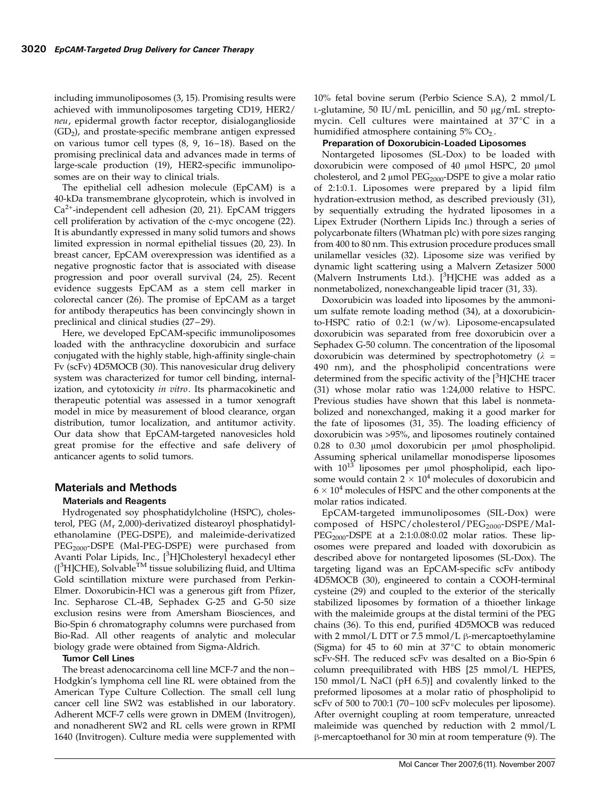including immunoliposomes (3, 15). Promising results were achieved with immunoliposomes targeting CD19, HER2/ neu, epidermal growth factor receptor, disialoganglioside  $(GD<sub>2</sub>)$ , and prostate-specific membrane antigen expressed on various tumor cell types  $(8, 9, 16-18)$ . Based on the promising preclinical data and advances made in terms of large-scale production (19), HER2-specific immunoliposomes are on their way to clinical trials.

The epithelial cell adhesion molecule (EpCAM) is a 40-kDa transmembrane glycoprotein, which is involved in  $Ca<sup>2+</sup>$ -independent cell adhesion (20, 21). EpCAM triggers cell proliferation by activation of the c-myc oncogene (22). It is abundantly expressed in many solid tumors and shows limited expression in normal epithelial tissues (20, 23). In breast cancer, EpCAM overexpression was identified as a negative prognostic factor that is associated with disease progression and poor overall survival (24, 25). Recent evidence suggests EpCAM as a stem cell marker in colorectal cancer (26). The promise of EpCAM as a target for antibody therapeutics has been convincingly shown in preclinical and clinical studies (27-29).

Here, we developed EpCAM-specific immunoliposomes loaded with the anthracycline doxorubicin and surface conjugated with the highly stable, high-affinity single-chain Fv (scFv) 4D5MOCB (30). This nanovesicular drug delivery system was characterized for tumor cell binding, internalization, and cytotoxicity in vitro. Its pharmacokinetic and therapeutic potential was assessed in a tumor xenograft model in mice by measurement of blood clearance, organ distribution, tumor localization, and antitumor activity. Our data show that EpCAM-targeted nanovesicles hold great promise for the effective and safe delivery of anticancer agents to solid tumors.

# Materials and Methods

# Materials and Reagents

Hydrogenated soy phosphatidylcholine (HSPC), cholesterol, PEG ( $M_r$  2,000)-derivatized distearoyl phosphatidylethanolamine (PEG-DSPE), and maleimide-derivatized PEG<sub>2000</sub>-DSPE (Mal-PEG-DSPE) were purchased from Avanti Polar Lipids, Inc., [<sup>3</sup>H]Cholesteryl hexadecyl ether ([<sup>3</sup>H]CHE), Solvable™ tissue solubilizing fluid, and Ultima Gold scintillation mixture were purchased from Perkin-Elmer. Doxorubicin-HCl was a generous gift from Pfizer, Inc. Sepharose CL-4B, Sephadex G-25 and G-50 size exclusion resins were from Amersham Biosciences, and Bio-Spin 6 chromatography columns were purchased from Bio-Rad. All other reagents of analytic and molecular biology grade were obtained from Sigma-Aldrich.

## Tumor Cell Lines

The breast adenocarcinoma cell line MCF-7 and the non – Hodgkin's lymphoma cell line RL were obtained from the American Type Culture Collection. The small cell lung cancer cell line SW2 was established in our laboratory. Adherent MCF-7 cells were grown in DMEM (Invitrogen), and nonadherent SW2 and RL cells were grown in RPMI 1640 (Invitrogen). Culture media were supplemented with

10% fetal bovine serum (Perbio Science S.A), 2 mmol/L L-glutamine, 50 IU/mL penicillin, and 50  $\mu$ g/mL streptomycin. Cell cultures were maintained at  $37^{\circ}$ C in a humidified atmosphere containing  $5\%$  CO<sub>2</sub>.

## Preparation of Doxorubicin-Loaded Liposomes

Nontargeted liposomes (SL-Dox) to be loaded with doxorubicin were composed of 40 µmol HSPC, 20 µmol cholesterol, and 2  $\mu$ mol PEG<sub>2000</sub>-DSPE to give a molar ratio of 2:1:0.1. Liposomes were prepared by a lipid film hydration-extrusion method, as described previously (31), by sequentially extruding the hydrated liposomes in a Lipex Extruder (Northern Lipids Inc.) through a series of polycarbonate filters (Whatman plc) with pore sizes ranging from 400 to 80 nm. This extrusion procedure produces small unilamellar vesicles (32). Liposome size was verified by dynamic light scattering using a Malvern Zetasizer 5000 (Malvern Instruments Ltd.). [<sup>3</sup>H]CHE was added as a nonmetabolized, nonexchangeable lipid tracer (31, 33).

Doxorubicin was loaded into liposomes by the ammonium sulfate remote loading method (34), at a doxorubicinto-HSPC ratio of 0.2:1 (w/w). Liposome-encapsulated doxorubicin was separated from free doxorubicin over a Sephadex G-50 column. The concentration of the liposomal doxorubicin was determined by spectrophotometry ( $\lambda =$ 490 nm), and the phospholipid concentrations were determined from the specific activity of the [3H]CHE tracer (31) whose molar ratio was 1:24,000 relative to HSPC. Previous studies have shown that this label is nonmetabolized and nonexchanged, making it a good marker for the fate of liposomes (31, 35). The loading efficiency of doxorubicin was >95%, and liposomes routinely contained  $0.28$  to  $0.30$   $\mu$ mol doxorubicin per  $\mu$ mol phospholipid. Assuming spherical unilamellar monodisperse liposomes with  $10^{13}$  liposomes per  $\mu$ mol phospholipid, each liposome would contain  $2 \times 10^4$  molecules of doxorubicin and  $6 \times 10^4$  molecules of HSPC and the other components at the molar ratios indicated.

EpCAM-targeted immunoliposomes (SIL-Dox) were composed of HSPC/cholesterol/PEG<sub>2000</sub>-DSPE/Mal- $PEG<sub>2000</sub>$ -DSPE at a 2:1:0.08:0.02 molar ratios. These liposomes were prepared and loaded with doxorubicin as described above for nontargeted liposomes (SL-Dox). The targeting ligand was an EpCAM-specific scFv antibody 4D5MOCB (30), engineered to contain a COOH-terminal cysteine (29) and coupled to the exterior of the sterically stabilized liposomes by formation of a thioether linkage with the maleimide groups at the distal termini of the PEG chains (36). To this end, purified 4D5MOCB was reduced with 2 mmol/L DTT or 7.5 mmol/L  $\beta$ -mercaptoethylamine (Sigma) for 45 to 60 min at  $37^{\circ}$ C to obtain monomeric scFv-SH. The reduced scFv was desalted on a Bio-Spin 6 column preequilibrated with HBS [25 mmol/L HEPES, 150 mmol/L NaCl (pH 6.5)] and covalently linked to the preformed liposomes at a molar ratio of phospholipid to scFv of 500 to 700:1 (70–100 scFv molecules per liposome). After overnight coupling at room temperature, unreacted maleimide was quenched by reduction with 2 mmol/L  $\beta$ -mercaptoethanol for 30 min at room temperature (9). The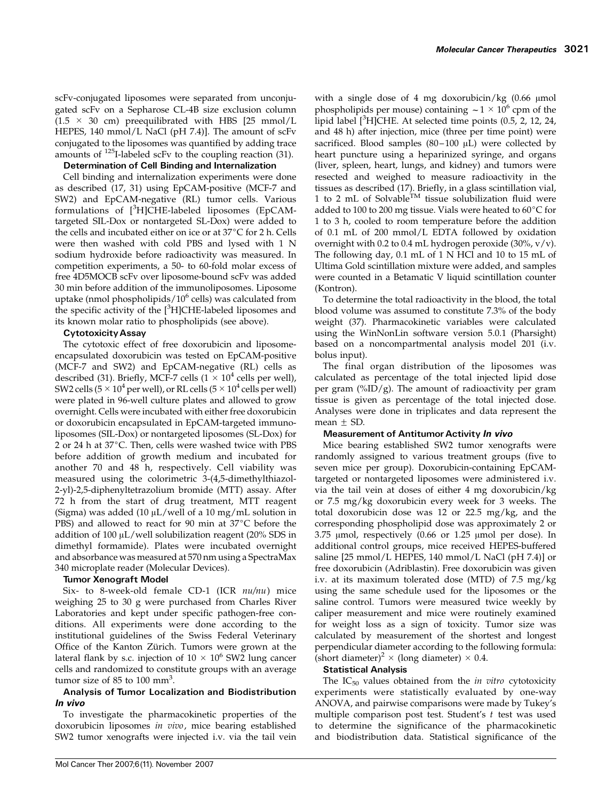scFv-conjugated liposomes were separated from unconjugated scFv on a Sepharose CL-4B size exclusion column  $(1.5 \times 30 \text{ cm})$  preequilibrated with HBS [25 mmol/L HEPES, 140 mmol/L NaCl (pH 7.4)]. The amount of scFv conjugated to the liposomes was quantified by adding trace amounts of 125I-labeled scFv to the coupling reaction (31).

# Determination of Cell Binding and Internalization

Cell binding and internalization experiments were done as described (17, 31) using EpCAM-positive (MCF-7 and SW2) and EpCAM-negative (RL) tumor cells. Various formulations of [<sup>3</sup>H]CHE-labeled liposomes (EpCAMtargeted SIL-Dox or nontargeted SL-Dox) were added to the cells and incubated either on ice or at  $37^{\circ}$ C for 2 h. Cells were then washed with cold PBS and lysed with 1 N sodium hydroxide before radioactivity was measured. In competition experiments, a 50- to 60-fold molar excess of free 4D5MOCB scFv over liposome-bound scFv was added 30 min before addition of the immunoliposomes. Liposome uptake (nmol phospholipids/ $10^6$  cells) was calculated from the specific activity of the [<sup>3</sup>H]CHE-labeled liposomes and its known molar ratio to phospholipids (see above).

# CytotoxicityAssay

The cytotoxic effect of free doxorubicin and liposomeencapsulated doxorubicin was tested on EpCAM-positive (MCF-7 and SW2) and EpCAM-negative (RL) cells as described (31). Briefly, MCF-7 cells ( $1 \times 10^4$  cells per well), SW2 cells (5  $\times$  10<sup>4</sup> per well), or RL cells (5  $\times$  10<sup>4</sup> cells per well) were plated in 96-well culture plates and allowed to grow overnight. Cells were incubated with either free doxorubicin or doxorubicin encapsulated in EpCAM-targeted immunoliposomes (SIL-Dox) or nontargeted liposomes (SL-Dox) for 2 or 24 h at  $37^{\circ}$ C. Then, cells were washed twice with PBS before addition of growth medium and incubated for another 70 and 48 h, respectively. Cell viability was measured using the colorimetric 3-(4,5-dimethylthiazol-2-yl)-2,5-diphenyltetrazolium bromide (MTT) assay. After 72 h from the start of drug treatment, MTT reagent (Sigma) was added (10  $\mu$ L/well of a 10 mg/mL solution in PBS) and allowed to react for 90 min at  $37^{\circ}$ C before the addition of 100  $\mu$ L/well solubilization reagent (20% SDS in dimethyl formamide). Plates were incubated overnight and absorbance was measured at 570 nm using a SpectraMax 340 microplate reader (Molecular Devices).

# Tumor Xenograft Model

Six- to 8-week-old female CD-1 (ICR nu/nu) mice weighing 25 to 30 g were purchased from Charles River Laboratories and kept under specific pathogen-free conditions. All experiments were done according to the institutional guidelines of the Swiss Federal Veterinary Office of the Kanton Zürich. Tumors were grown at the lateral flank by s.c. injection of  $10 \times 10^6$  SW2 lung cancer cells and randomized to constitute groups with an average tumor size of  $85$  to  $100$  mm<sup>3</sup>.

# Analysis of Tumor Localization and Biodistribution In vivo

To investigate the pharmacokinetic properties of the doxorubicin liposomes in vivo, mice bearing established SW2 tumor xenografts were injected i.v. via the tail vein with a single dose of 4 mg doxorubicin/kg  $(0.66 \mu mol)$ phospholipids per mouse) containing  $\sim$  1  $\times$  10<sup>6</sup> cpm of the lipid label [<sup>3</sup>H]CHE. At selected time points (0.5, 2, 12, 24, and 48 h) after injection, mice (three per time point) were sacrificed. Blood samples  $(80-100 \mu L)$  were collected by heart puncture using a heparinized syringe, and organs (liver, spleen, heart, lungs, and kidney) and tumors were resected and weighed to measure radioactivity in the tissues as described (17). Briefly, in a glass scintillation vial, 1 to 2 mL of Solvable<sup>TM</sup> tissue solubilization fluid were added to 100 to 200 mg tissue. Vials were heated to  $60^{\circ}$ C for 1 to 3 h, cooled to room temperature before the addition of 0.1 mL of 200 mmol/L EDTA followed by oxidation overnight with 0.2 to 0.4 mL hydrogen peroxide  $(30\%, v/v)$ . The following day, 0.1 mL of 1 N HCl and 10 to 15 mL of Ultima Gold scintillation mixture were added, and samples were counted in a Betamatic V liquid scintillation counter (Kontron).

To determine the total radioactivity in the blood, the total blood volume was assumed to constitute 7.3% of the body weight (37). Pharmacokinetic variables were calculated using the WinNonLin software version 5.0.1 (Pharsight) based on a noncompartmental analysis model 201 (i.v. bolus input).

The final organ distribution of the liposomes was calculated as percentage of the total injected lipid dose per gram  $(\frac{\%ID}{g})$ . The amount of radioactivity per gram tissue is given as percentage of the total injected dose. Analyses were done in triplicates and data represent the mean  $\pm$  SD.

# Measurement of Antitumor Activity In vivo

Mice bearing established SW2 tumor xenografts were randomly assigned to various treatment groups (five to seven mice per group). Doxorubicin-containing EpCAMtargeted or nontargeted liposomes were administered i.v. via the tail vein at doses of either 4 mg doxorubicin/kg or 7.5 mg/kg doxorubicin every week for 3 weeks. The total doxorubicin dose was 12 or 22.5 mg/kg, and the corresponding phospholipid dose was approximately 2 or  $3.75$  µmol, respectively  $(0.66$  or  $1.25$  µmol per dose). In additional control groups, mice received HEPES-buffered saline [25 mmol/L HEPES, 140 mmol/L NaCl (pH 7.4)] or free doxorubicin (Adriblastin). Free doxorubicin was given i.v. at its maximum tolerated dose (MTD) of 7.5 mg/kg using the same schedule used for the liposomes or the saline control. Tumors were measured twice weekly by caliper measurement and mice were routinely examined for weight loss as a sign of toxicity. Tumor size was calculated by measurement of the shortest and longest perpendicular diameter according to the following formula: (short diameter)<sup>2</sup>  $\times$  (long diameter)  $\times$  0.4.

## Statistical Analysis

The  $IC_{50}$  values obtained from the *in vitro* cytotoxicity experiments were statistically evaluated by one-way ANOVA, and pairwise comparisons were made by Tukey's multiple comparison post test. Student's  $t$  test was used to determine the significance of the pharmacokinetic and biodistribution data. Statistical significance of the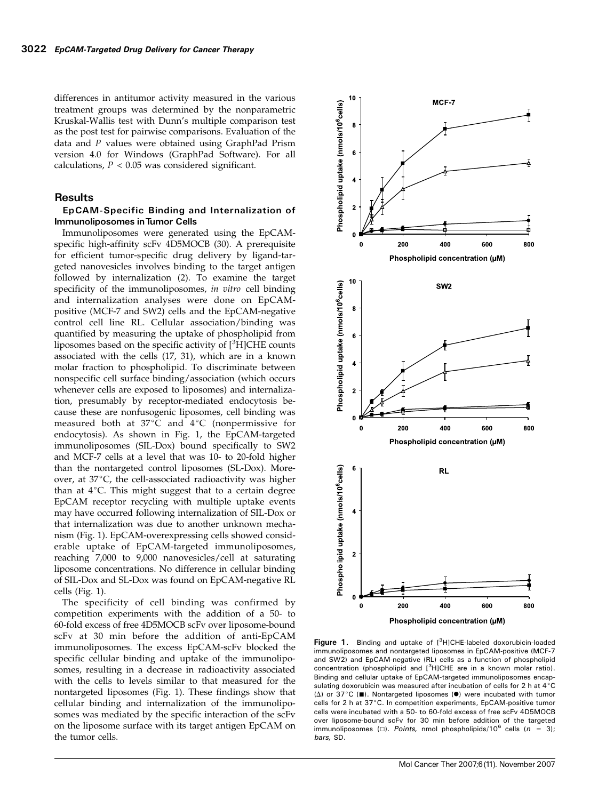differences in antitumor activity measured in the various treatment groups was determined by the nonparametric Kruskal-Wallis test with Dunn's multiple comparison test as the post test for pairwise comparisons. Evaluation of the data and P values were obtained using GraphPad Prism version 4.0 for Windows (GraphPad Software). For all calculations,  $P < 0.05$  was considered significant.

# **Results**

# EpCAM-Specific Binding and Internalization of Immunoliposomes inTumor Cells

Immunoliposomes were generated using the EpCAMspecific high-affinity scFv 4D5MOCB (30). A prerequisite for efficient tumor-specific drug delivery by ligand-targeted nanovesicles involves binding to the target antigen followed by internalization (2). To examine the target specificity of the immunoliposomes, in vitro cell binding and internalization analyses were done on EpCAMpositive (MCF-7 and SW2) cells and the EpCAM-negative control cell line RL. Cellular association/binding was quantified by measuring the uptake of phospholipid from liposomes based on the specific activity of  $[{}^3H]CHE$  counts associated with the cells (17, 31), which are in a known molar fraction to phospholipid. To discriminate between nonspecific cell surface binding/association (which occurs whenever cells are exposed to liposomes) and internalization, presumably by receptor-mediated endocytosis because these are nonfusogenic liposomes, cell binding was measured both at  $37^{\circ}$ C and  $4^{\circ}$ C (nonpermissive for endocytosis). As shown in Fig. 1, the EpCAM-targeted immunoliposomes (SIL-Dox) bound specifically to SW2 and MCF-7 cells at a level that was 10- to 20-fold higher than the nontargeted control liposomes (SL-Dox). Moreover, at  $37^{\circ}$ C, the cell-associated radioactivity was higher than at  $4^{\circ}$ C. This might suggest that to a certain degree EpCAM receptor recycling with multiple uptake events may have occurred following internalization of SIL-Dox or that internalization was due to another unknown mechanism (Fig. 1). EpCAM-overexpressing cells showed considerable uptake of EpCAM-targeted immunoliposomes, reaching 7,000 to 9,000 nanovesicles/cell at saturating liposome concentrations. No difference in cellular binding of SIL-Dox and SL-Dox was found on EpCAM-negative RL cells (Fig. 1).

The specificity of cell binding was confirmed by competition experiments with the addition of a 50- to 60-fold excess of free 4D5MOCB scFv over liposome-bound scFv at 30 min before the addition of anti-EpCAM immunoliposomes. The excess EpCAM-scFv blocked the specific cellular binding and uptake of the immunoliposomes, resulting in a decrease in radioactivity associated with the cells to levels similar to that measured for the nontargeted liposomes (Fig. 1). These findings show that cellular binding and internalization of the immunoliposomes was mediated by the specific interaction of the scFv on the liposome surface with its target antigen EpCAM on the tumor cells.



Figure 1. Binding and uptake of [<sup>3</sup>H]CHE-labeled doxorubicin-loaded immunoliposomes and nontargeted liposomes in EpCAM-positive (MCF-7 and SW2) and EpCAM-negative (RL) cells as a function of phospholipid concentration (phospholipid and [<sup>3</sup>H]CHE are in a known molar ratio). Binding and cellular uptake of EpCAM-targeted immunoliposomes encapsulating doxorubicin was measured after incubation of cells for 2 h at  $4^{\circ}$ C ( $\Delta$ ) or 37°C ( $\blacksquare$ ). Nontargeted liposomes ( $\blacksquare$ ) were incubated with tumor cells for 2 h at 37°C. In competition experiments, EpCAM-positive tumor cells were incubated with a 50- to 60-fold excess of free scFv 4D5MOCB over liposome-bound scFv for 30 min before addition of the targeted immunoliposomes ( $\square$ ). Points, nmol phospholipids/10<sup>6</sup> cells ( $n = 3$ ); bars, SD.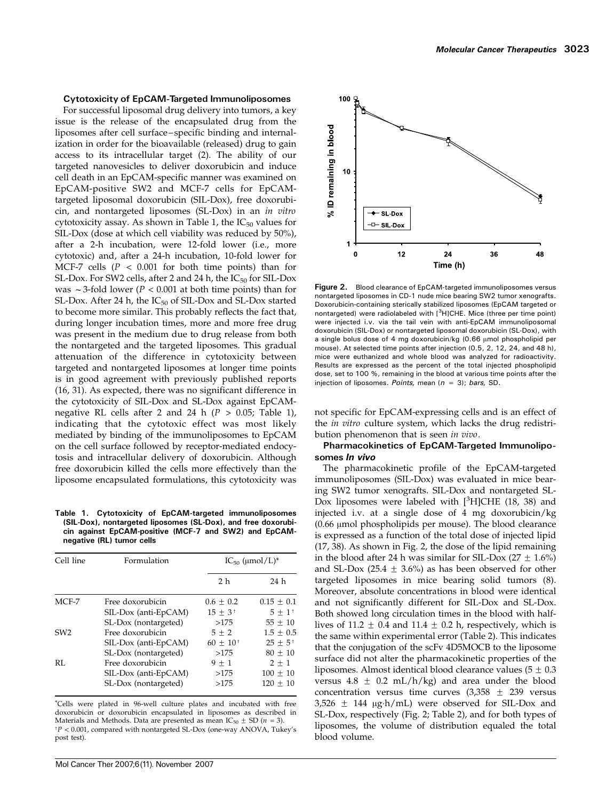#### Cytotoxicity of EpCAM-Targeted Immunoliposomes

For successful liposomal drug delivery into tumors, a key issue is the release of the encapsulated drug from the liposomes after cell surface – specific binding and internalization in order for the bioavailable (released) drug to gain access to its intracellular target (2). The ability of our targeted nanovesicles to deliver doxorubicin and induce cell death in an EpCAM-specific manner was examined on EpCAM-positive SW2 and MCF-7 cells for EpCAMtargeted liposomal doxorubicin (SIL-Dox), free doxorubicin, and nontargeted liposomes (SL-Dox) in an in vitro cytotoxicity assay. As shown in Table 1, the  $IC_{50}$  values for SIL-Dox (dose at which cell viability was reduced by 50%), after a 2-h incubation, were 12-fold lower (i.e., more cytotoxic) and, after a 24-h incubation, 10-fold lower for MCF-7 cells ( $P < 0.001$  for both time points) than for SL-Dox. For SW2 cells, after 2 and 24 h, the  $IC_{50}$  for SIL-Dox was  $\sim$  3-fold lower (P < 0.001 at both time points) than for SL-Dox. After 24 h, the  $IC_{50}$  of SIL-Dox and SL-Dox started to become more similar. This probably reflects the fact that, during longer incubation times, more and more free drug was present in the medium due to drug release from both the nontargeted and the targeted liposomes. This gradual attenuation of the difference in cytotoxicity between targeted and nontargeted liposomes at longer time points is in good agreement with previously published reports (16, 31). As expected, there was no significant difference in the cytotoxicity of SIL-Dox and SL-Dox against EpCAMnegative RL cells after 2 and 24 h ( $P > 0.05$ ; Table 1), indicating that the cytotoxic effect was most likely mediated by binding of the immunoliposomes to EpCAM on the cell surface followed by receptor-mediated endocytosis and intracellular delivery of doxorubicin. Although free doxorubicin killed the cells more effectively than the liposome encapsulated formulations, this cytotoxicity was

Table 1. Cytotoxicity of EpCAM-targeted immunoliposomes (SIL-Dox), nontargeted liposomes (SL-Dox), and free doxorubicin against EpCAM-positive (MCF-7 and SW2) and EpCAMnegative (RL) tumor cells

| Cell line       | Formulation          | $IC_{50}$ (µmol/L) <sup>*</sup> |                       |
|-----------------|----------------------|---------------------------------|-----------------------|
|                 |                      | 2 <sub>h</sub>                  | 24 h                  |
| MCF-7           | Free doxorubicin     | $0.6 + 0.2$                     | $0.15 + 0.1$          |
|                 | SIL-Dox (anti-EpCAM) | $15 \pm 3^{+}$                  | $5 + 1$ <sup>+</sup>  |
|                 | SL-Dox (nontargeted) | >175                            | $55 + 10$             |
| SW <sub>2</sub> | Free doxorubicin     | $5 + 2$                         | $1.5 + 0.5$           |
|                 | SIL-Dox (anti-EpCAM) | $60 + 10^{+}$                   | $25 + 5$ <sup>+</sup> |
|                 | SL-Dox (nontargeted) | >175                            | $80 + 10$             |
| RL              | Free doxorubicin     | $9 + 1$                         | $2 + 1$               |
|                 | SIL-Dox (anti-EpCAM) | >175                            | $100 \pm 10$          |
|                 | SL-Dox (nontargeted) | >175                            | $120 + 10$            |

\*Cells were plated in 96-well culture plates and incubated with free doxorubicin or doxorubicin encapsulated in liposomes as described in Materials and Methods. Data are presented as mean IC<sub>50</sub>  $\pm$  SD (n = 3).  $p^+P$  < 0.001, compared with nontargeted SL-Dox (one-way ANOVA, Tukey's post test).



Figure 2. Blood clearance of EpCAM-targeted immunoliposomes versus nontargeted liposomes in CD-1 nude mice bearing SW2 tumor xenografts. Doxorubicin-containing sterically stabilized liposomes (EpCAM targeted or nontargeted) were radiolabeled with [<sup>3</sup>H]CHE. Mice (three per time point) were injected i.v. via the tail vein with anti-EpCAM immunoliposomal doxorubicin (SIL-Dox) or nontargeted liposomal doxorubicin (SL-Dox), with a single bolus dose of 4 mg doxorubicin/kg  $(0.66 \mu m)$  phospholipid per mouse). At selected time points after injection (0.5, 2, 12, 24, and 48 h), mice were euthanized and whole blood was analyzed for radioactivity. Results are expressed as the percent of the total injected phospholipid dose, set to 100 %, remaining in the blood at various time points after the injection of liposomes. Points, mean ( $n = 3$ ); bars, SD.

not specific for EpCAM-expressing cells and is an effect of the *in vitro* culture system, which lacks the drug redistribution phenomenon that is seen in vivo.

# Pharmacokinetics of EpCAM-Targeted Immunoliposomes In vivo

The pharmacokinetic profile of the EpCAM-targeted immunoliposomes (SIL-Dox) was evaluated in mice bearing SW2 tumor xenografts. SIL-Dox and nontargeted SL-Dox liposomes were labeled with  $[3H]CHE$  (18, 38) and injected i.v. at a single dose of 4 mg doxorubicin/kg  $(0.66 \mu \text{mol phospholipids per mouse})$ . The blood clearance is expressed as a function of the total dose of injected lipid (17, 38). As shown in Fig. 2, the dose of the lipid remaining in the blood after 24 h was similar for SIL-Dox  $(27 \pm 1.6\%)$ and SL-Dox (25.4  $\pm$  3.6%) as has been observed for other targeted liposomes in mice bearing solid tumors (8). Moreover, absolute concentrations in blood were identical and not significantly different for SIL-Dox and SL-Dox. Both showed long circulation times in the blood with halflives of 11.2  $\pm$  0.4 and 11.4  $\pm$  0.2 h, respectively, which is the same within experimental error (Table 2). This indicates that the conjugation of the scFv 4D5MOCB to the liposome surface did not alter the pharmacokinetic properties of the liposomes. Almost identical blood clearance values  $(5 \pm 0.3)$ versus  $4.8 \pm 0.2$  mL/h/kg) and area under the blood concentration versus time curves  $(3,358 \pm 239)$  versus  $3,526 \pm 144$  µg $\cdot$ h/mL) were observed for SIL-Dox and SL-Dox, respectively (Fig. 2; Table 2), and for both types of liposomes, the volume of distribution equaled the total blood volume.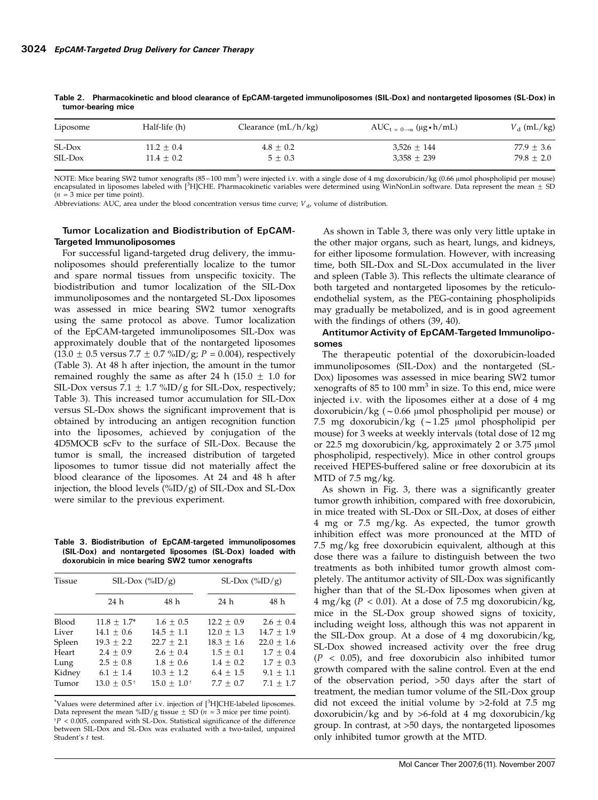| Half-life (h) | Clearance $(mL/h/kg)$ | $AUC_{t=0\rightarrow\alpha}$ (µg•h/mL) | $V_d$ (mL/kg) |
|---------------|-----------------------|----------------------------------------|---------------|
| $11.2 + 0.4$  | $4.8 + 0.2$           | $3,526 \pm 144$                        | $77.9 + 3.6$  |
| $11.4 + 0.2$  | $5 + 0.3$             | $3,358 \pm 239$                        | $79.8 + 2.0$  |
|               |                       |                                        |               |

Table 2. Pharmacokinetic and blood clearance of EpCAM-targeted immunoliposomes (SIL-Dox) and nontargeted liposomes (SL-Dox) in tumor-bearing mice

NOTE: Mice bearing SW2 tumor xenografts (85–100 mm<sup>3</sup>) were injected i.v. with a single dose of 4 mg doxorubicin/kg (0.66 µmol phospholipid per mouse) encapsulated in liposomes labeled with [3H]CHE. Pharmacokinetic variables were determined using WinNonLin software. Data represent the mean  $\pm$  SD  $(n = 3$  mice per time point).

Abbreviations: AUC, area under the blood concentration versus time curve;  $V_{\rm d}$ , volume of distribution.

# Tumor Localization and Biodistribution of EpCAM-Targeted Immunoliposomes

For successful ligand-targeted drug delivery, the immunoliposomes should preferentially localize to the tumor and spare normal tissues from unspecific toxicity. The biodistribution and tumor localization of the SIL-Dox immunoliposomes and the nontargeted SL-Dox liposomes was assessed in mice bearing SW2 tumor xenografts using the same protocol as above. Tumor localization of the EpCAM-targeted immunoliposomes SIL-Dox was approximately double that of the nontargeted liposomes  $(13.0 \pm 0.5 \text{ versus } 7.7 \pm 0.7 \text{ %ID/g}; P = 0.004)$ , respectively (Table 3). At 48 h after injection, the amount in the tumor remained roughly the same as after 24 h (15.0  $\pm$  1.0 for SIL-Dox versus 7.1  $\pm$  1.7 %ID/g for SIL-Dox, respectively; Table 3). This increased tumor accumulation for SIL-Dox versus SL-Dox shows the significant improvement that is obtained by introducing an antigen recognition function into the liposomes, achieved by conjugation of the 4D5MOCB scFv to the surface of SIL-Dox. Because the tumor is small, the increased distribution of targeted liposomes to tumor tissue did not materially affect the blood clearance of the liposomes. At 24 and 48 h after injection, the blood levels (%ID/g) of SIL-Dox and SL-Dox were similar to the previous experiment.

Table 3. Biodistribution of EpCAM-targeted immunoliposomes (SIL-Dox) and nontargeted liposomes (SL-Dox) loaded with doxorubicin in mice bearing SW2 tumor xenografts

| Tissue | SIL-Dox $(\%ID/g)$ |                           | SL-Dox $(\%ID/g)$ |                |
|--------|--------------------|---------------------------|-------------------|----------------|
|        | 24 h               | 48 h                      | 24 h              | 48 h           |
| Blood  | $11.8 \pm 1.7^*$   | $1.6 \pm 0.5$             | $12.2 \pm 0.9$    | $2.6 \pm 0.4$  |
| Liver  | $14.1 \pm 0.6$     | $14.5 \pm 1.1$            | $12.0 \pm 1.3$    | $14.7 \pm 1.9$ |
| Spleen | $19.3 + 2.2$       | $22.7 + 2.1$              | $18.3 + 1.6$      | $22.0 + 1.6$   |
| Heart  | $2.4 + 0.9$        | $2.6 + 0.4$               | $1.5 + 0.1$       | $1.7 \pm 0.4$  |
| Lung   | $2.5 \pm 0.8$      | $1.8 \pm 0.6$             | $1.4 \pm 0.2$     | $1.7 \pm 0.3$  |
| Kidney | $6.1 + 1.4$        | $10.3 + 1.2$              | $6.4 + 1.5$       | $9.1 + 1.1$    |
| Tumor  | $13.0 \pm 0.5^+$   | $15.0 + 1.0$ <sup>+</sup> | $7.7 + 0.7$       | $7.1 + 1.7$    |

\*Values were determined after i.v. injection of [<sup>3</sup> H]CHE-labeled liposomes. Data represent the mean %ID/g tissue  $\pm$  SD (n = 3 mice per time point).  $p \approx 0.005$ , compared with SL-Dox. Statistical significance of the difference between SIL-Dox and SL-Dox was evaluated with a two-tailed, unpaired Student's t test.

As shown in Table 3, there was only very little uptake in the other major organs, such as heart, lungs, and kidneys, for either liposome formulation. However, with increasing time, both SIL-Dox and SL-Dox accumulated in the liver and spleen (Table 3). This reflects the ultimate clearance of both targeted and nontargeted liposomes by the reticuloendothelial system, as the PEG-containing phospholipids may gradually be metabolized, and is in good agreement with the findings of others (39, 40).

# Antitumor Activity of EpCAM-Targeted Immunoliposomes

The therapeutic potential of the doxorubicin-loaded immunoliposomes (SIL-Dox) and the nontargeted (SL-Dox) liposomes was assessed in mice bearing SW2 tumor xenografts of  $85$  to  $100$  mm<sup>3</sup> in size. To this end, mice were injected i.v. with the liposomes either at a dose of 4 mg doxorubicin/kg ( $\sim$  0.66 µmol phospholipid per mouse) or 7.5 mg doxorubicin/kg  $(-1.25 \text{ }\mu\text{mol}$  phospholipid per mouse) for 3 weeks at weekly intervals (total dose of 12 mg or 22.5 mg doxorubicin/kg, approximately 2 or 3.75  $\mu$ mol phospholipid, respectively). Mice in other control groups received HEPES-buffered saline or free doxorubicin at its MTD of 7.5 mg/kg.

As shown in Fig. 3, there was a significantly greater tumor growth inhibition, compared with free doxorubicin, in mice treated with SL-Dox or SIL-Dox, at doses of either 4 mg or 7.5 mg/kg. As expected, the tumor growth inhibition effect was more pronounced at the MTD of 7.5 mg/kg free doxorubicin equivalent, although at this dose there was a failure to distinguish between the two treatments as both inhibited tumor growth almost completely. The antitumor activity of SIL-Dox was significantly higher than that of the SL-Dox liposomes when given at 4 mg/kg ( $P < 0.01$ ). At a dose of 7.5 mg doxorubicin/kg, mice in the SL-Dox group showed signs of toxicity, including weight loss, although this was not apparent in the SIL-Dox group. At a dose of 4 mg doxorubicin/kg, SL-Dox showed increased activity over the free drug  $(P < 0.05)$ , and free doxorubicin also inhibited tumor growth compared with the saline control. Even at the end of the observation period, >50 days after the start of treatment, the median tumor volume of the SIL-Dox group did not exceed the initial volume by >2-fold at 7.5 mg doxorubicin/kg and by >6-fold at 4 mg doxorubicin/kg group. In contrast, at >50 days, the nontargeted liposomes only inhibited tumor growth at the MTD.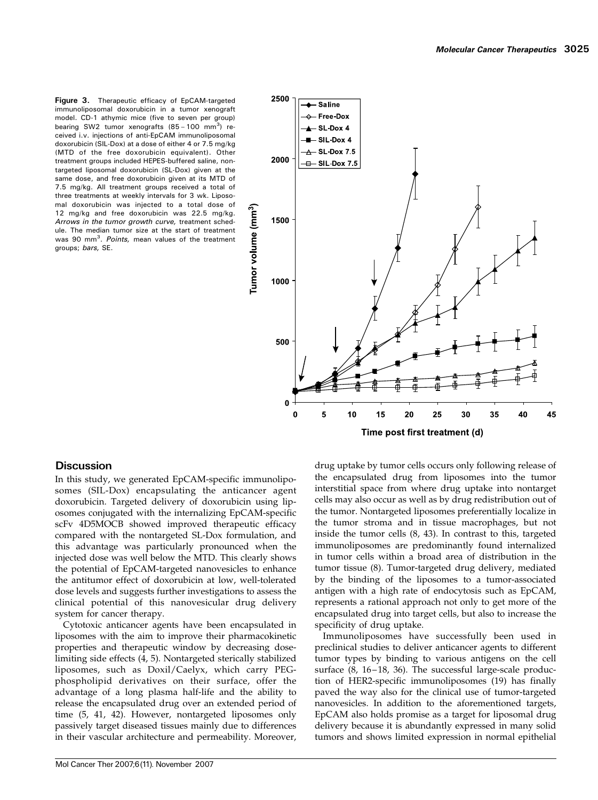Figure 3. Therapeutic efficacy of EpCAM-targeted immunoliposomal doxorubicin in a tumor xenograft model. CD-1 athymic mice (five to seven per group) bearing SW2 tumor xenografts (85 - 100 mm<sup>3</sup>) received i.v. injections of anti-EpCAM immunoliposomal doxorubicin (SIL-Dox) at a dose of either 4 or 7.5 mg/kg (MTD of the free doxorubicin equivalent). Other treatment groups included HEPES-buffered saline, nontargeted liposomal doxorubicin (SL-Dox) given at the same dose, and free doxorubicin given at its MTD of 7.5 mg/kg. All treatment groups received a total of three treatments at weekly intervals for 3 wk. Liposomal doxorubicin was injected to a total dose of 12 mg/kg and free doxorubicin was 22.5 mg/kg. Arrows in the tumor growth curve, treatment schedule. The median tumor size at the start of treatment was 90 mm<sup>3</sup>. Points, mean values of the treatment groups; bars, SE.



# **Discussion**

In this study, we generated EpCAM-specific immunoliposomes (SIL-Dox) encapsulating the anticancer agent doxorubicin. Targeted delivery of doxorubicin using liposomes conjugated with the internalizing EpCAM-specific scFv 4D5MOCB showed improved therapeutic efficacy compared with the nontargeted SL-Dox formulation, and this advantage was particularly pronounced when the injected dose was well below the MTD. This clearly shows the potential of EpCAM-targeted nanovesicles to enhance the antitumor effect of doxorubicin at low, well-tolerated dose levels and suggests further investigations to assess the clinical potential of this nanovesicular drug delivery system for cancer therapy.

Cytotoxic anticancer agents have been encapsulated in liposomes with the aim to improve their pharmacokinetic properties and therapeutic window by decreasing doselimiting side effects (4, 5). Nontargeted sterically stabilized liposomes, such as Doxil/Caelyx, which carry PEGphospholipid derivatives on their surface, offer the advantage of a long plasma half-life and the ability to release the encapsulated drug over an extended period of time (5, 41, 42). However, nontargeted liposomes only passively target diseased tissues mainly due to differences in their vascular architecture and permeability. Moreover, the encapsulated drug from liposomes into the tumor interstitial space from where drug uptake into nontarget cells may also occur as well as by drug redistribution out of the tumor. Nontargeted liposomes preferentially localize in the tumor stroma and in tissue macrophages, but not inside the tumor cells (8, 43). In contrast to this, targeted immunoliposomes are predominantly found internalized in tumor cells within a broad area of distribution in the tumor tissue (8). Tumor-targeted drug delivery, mediated by the binding of the liposomes to a tumor-associated antigen with a high rate of endocytosis such as EpCAM, represents a rational approach not only to get more of the encapsulated drug into target cells, but also to increase the specificity of drug uptake.

drug uptake by tumor cells occurs only following release of

Immunoliposomes have successfully been used in preclinical studies to deliver anticancer agents to different tumor types by binding to various antigens on the cell surface (8, 16-18, 36). The successful large-scale production of HER2-specific immunoliposomes (19) has finally paved the way also for the clinical use of tumor-targeted nanovesicles. In addition to the aforementioned targets, EpCAM also holds promise as a target for liposomal drug delivery because it is abundantly expressed in many solid tumors and shows limited expression in normal epithelial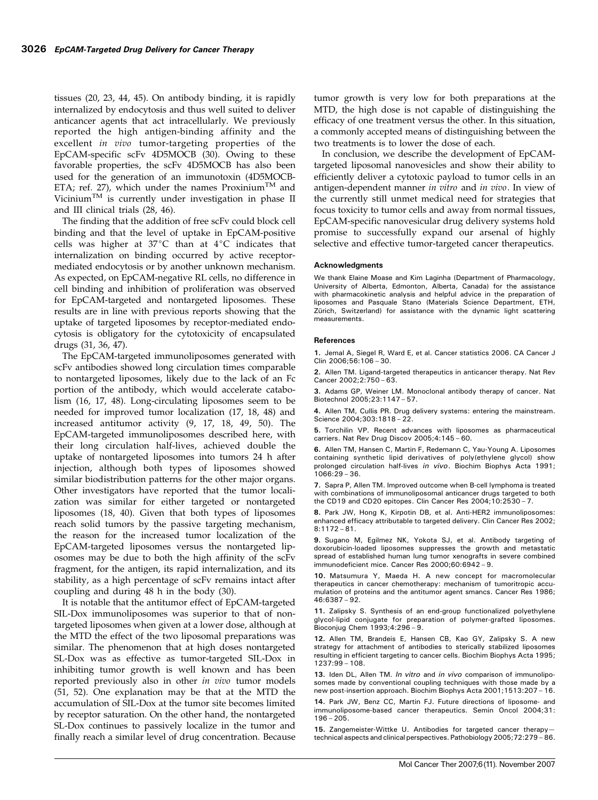tissues (20, 23, 44, 45). On antibody binding, it is rapidly internalized by endocytosis and thus well suited to deliver anticancer agents that act intracellularly. We previously reported the high antigen-binding affinity and the excellent in vivo tumor-targeting properties of the EpCAM-specific scFv 4D5MOCB (30). Owing to these favorable properties, the scFv 4D5MOCB has also been used for the generation of an immunotoxin (4D5MOCB-ETA; ref. 27), which under the names Proxinium<sup>TM</sup> and Vicinium<sup>TM</sup> is currently under investigation in phase II and III clinical trials (28, 46).

The finding that the addition of free scFv could block cell binding and that the level of uptake in EpCAM-positive cells was higher at  $37^{\circ}$ C than at  $4^{\circ}$ C indicates that internalization on binding occurred by active receptormediated endocytosis or by another unknown mechanism. As expected, on EpCAM-negative RL cells, no difference in cell binding and inhibition of proliferation was observed for EpCAM-targeted and nontargeted liposomes. These results are in line with previous reports showing that the uptake of targeted liposomes by receptor-mediated endocytosis is obligatory for the cytotoxicity of encapsulated drugs (31, 36, 47).

The EpCAM-targeted immunoliposomes generated with scFv antibodies showed long circulation times comparable to nontargeted liposomes, likely due to the lack of an Fc portion of the antibody, which would accelerate catabolism (16, 17, 48). Long-circulating liposomes seem to be needed for improved tumor localization (17, 18, 48) and increased antitumor activity (9, 17, 18, 49, 50). The EpCAM-targeted immunoliposomes described here, with their long circulation half-lives, achieved double the uptake of nontargeted liposomes into tumors 24 h after injection, although both types of liposomes showed similar biodistribution patterns for the other major organs. Other investigators have reported that the tumor localization was similar for either targeted or nontargeted liposomes (18, 40). Given that both types of liposomes reach solid tumors by the passive targeting mechanism, the reason for the increased tumor localization of the EpCAM-targeted liposomes versus the nontargeted liposomes may be due to both the high affinity of the scFv fragment, for the antigen, its rapid internalization, and its stability, as a high percentage of scFv remains intact after coupling and during 48 h in the body (30).

It is notable that the antitumor effect of EpCAM-targeted SIL-Dox immunoliposomes was superior to that of nontargeted liposomes when given at a lower dose, although at the MTD the effect of the two liposomal preparations was similar. The phenomenon that at high doses nontargeted SL-Dox was as effective as tumor-targeted SIL-Dox in inhibiting tumor growth is well known and has been reported previously also in other in vivo tumor models (51, 52). One explanation may be that at the MTD the accumulation of SIL-Dox at the tumor site becomes limited by receptor saturation. On the other hand, the nontargeted SL-Dox continues to passively localize in the tumor and finally reach a similar level of drug concentration. Because

tumor growth is very low for both preparations at the MTD, the high dose is not capable of distinguishing the efficacy of one treatment versus the other. In this situation, a commonly accepted means of distinguishing between the two treatments is to lower the dose of each.

In conclusion, we describe the development of EpCAMtargeted liposomal nanovesicles and show their ability to efficiently deliver a cytotoxic payload to tumor cells in an antigen-dependent manner in vitro and in vivo. In view of the currently still unmet medical need for strategies that focus toxicity to tumor cells and away from normal tissues, EpCAM-specific nanovesicular drug delivery systems hold promise to successfully expand our arsenal of highly selective and effective tumor-targeted cancer therapeutics.

#### Acknowledgments

We thank Elaine Moase and Kim Laginha (Department of Pharmacology, University of Alberta, Edmonton, Alberta, Canada) for the assistance with pharmacokinetic analysis and helpful advice in the preparation of liposomes and Pasquale Stano (Materials Science Department, ETH, Zürich, Switzerland) for assistance with the dynamic light scattering measurements.

#### References

1. Jemal A, Siegel R, Ward E, et al. Cancer statistics 2006. CA Cancer J Clin 2006;56:106 – 30.

2. Allen TM. Ligand-targeted therapeutics in anticancer therapy. Nat Rev Cancer 2002;2:750 – 63.

3. Adams GP, Weiner LM. Monoclonal antibody therapy of cancer. Nat Biotechnol 2005;23:1147 – 57.

4. Allen TM, Cullis PR. Drug delivery systems: entering the mainstream. Science 2004;303:1818 – 22.

5. Torchilin VP. Recent advances with liposomes as pharmaceutical carriers. Nat Rev Drug Discov 2005;4:145 – 60.

6. Allen TM, Hansen C, Martin F, Redemann C, Yau-Young A. Liposomes containing synthetic lipid derivatives of poly(ethylene glycol) show prolonged circulation half-lives in vivo. Biochim Biophys Acta 1991; 1066:29 – 36.

7. Sapra P, Allen TM. Improved outcome when B-cell lymphoma is treated with combinations of immunoliposomal anticancer drugs targeted to both the CD19 and CD20 epitopes. Clin Cancer Res 2004;10:2530 – 7.

8. Park JW, Hong K, Kirpotin DB, et al. Anti-HER2 immunoliposomes: enhanced efficacy attributable to targeted delivery. Clin Cancer Res 2002; 8:1172 – 81.

9. Sugano M, Egilmez NK, Yokota SJ, et al. Antibody targeting of doxorubicin-loaded liposomes suppresses the growth and metastatic spread of established human lung tumor xenografts in severe combined immunodeficient mice. Cancer Res 2000;60:6942 – 9.

10. Matsumura Y, Maeda H. A new concept for macromolecular therapeutics in cancer chemotherapy: mechanism of tumoritropic accumulation of proteins and the antitumor agent smancs. Cancer Res 1986; 46:6387 – 92.

11. Zalipsky S. Synthesis of an end-group functionalized polyethylene glycol-lipid conjugate for preparation of polymer-grafted liposomes. Bioconjug Chem 1993;4:296 – 9.

12. Allen TM, Brandeis E, Hansen CB, Kao GY, Zalipsky S. A new strategy for attachment of antibodies to sterically stabilized liposomes resulting in efficient targeting to cancer cells. Biochim Biophys Acta 1995; 1237:99 – 108.

13. Iden DL, Allen TM. In vitro and in vivo comparison of immunoliposomes made by conventional coupling techniques with those made by a new post-insertion approach. Biochim Biophys Acta 2001;1513:207 – 16. 14. Park JW, Benz CC, Martin FJ. Future directions of liposome- and immunoliposome-based cancer therapeutics. Semin Oncol 2004;31: 196 – 205.

15. Zangemeister-Wittke U. Antibodies for targeted cancer therapy technical aspects and clinical perspectives. Pathobiology 2005;72:279 – 86.